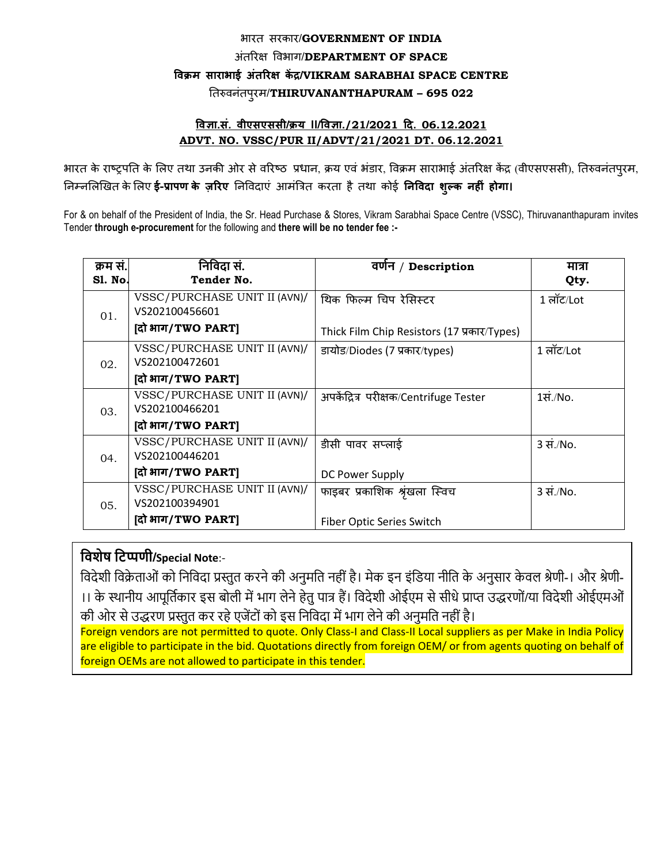## बायत सयकाय/**GOVERNMENT OF INDIA** अंतरयऺ विबाग/**DEPARTMENT OF SPACE विक्रम साराभाई अंतररऺ कें द्र/VIKRAM SARABHAI SPACE CENTRE** ततरुिनंतऩुयभ/**THIRUVANANTHAPURAM – 695 022**

## **विऻा.सं. िीएसएससी/क्रय II/विऻा./21/2021 दद. 06.12.2021 ADVT. NO. VSSC/PUR II/ADVT/21/2021 DT. 06.12.2021**

भारत के राष्ट्रपति के लिए तथा उनकी ओर से वरिष्ठ प्रधान, क्रय एवं भंडार, विक्रम साराभाई अंतरिक्ष केंद्र (वीएसएससी), तिरुवनंतपुरम, तनम्नलरखित के लरए **ई-प्रापण के ज़ररए** तनविदाएं आभंत्रित कयता हैतथा कोई **निविदा शुल्क िह ं होगा।**

For & on behalf of the President of India, the Sr. Head Purchase & Stores, Vikram Sarabhai Space Centre (VSSC), Thiruvananthapuram invites Tender **through e-procurement** for the following and **there will be no tender fee :-** 

| क्रम सं.<br>Sl. No. | निविदा सं.<br>Tender No.                       | वर्णन / Description                         | मात्रा<br>Qty.                  |
|---------------------|------------------------------------------------|---------------------------------------------|---------------------------------|
| 01.                 | VSSC/PURCHASE UNIT II (AVN)/<br>VS202100456601 | थिक फिल्म चिप रेसिस्टर                      | 1 लॉट/Lot                       |
|                     | [दो भाग/TWO PART]                              | Thick Film Chip Resistors (17 प्रकार/Types) |                                 |
| 02.                 | VSSC/PURCHASE UNIT II (AVN)/<br>VS202100472601 | डायोड/Diodes (7 प्रकार/types)               | 1 लॉट/Lot                       |
|                     | [दो भाग/TWO PART]                              |                                             |                                 |
| 03.                 | VSSC/PURCHASE UNIT II (AVN)/<br>VS202100466201 | अपकेंद्रित्र परीक्षक/Centrifuge Tester      | $1\overline{\mathcal{H}}$ ./No. |
|                     | [दो भाग/TWO PART]                              |                                             |                                 |
| 04.                 | VSSC/PURCHASE UNIT II (AVN)/<br>VS202100446201 | डीसी पावर सप्लाई                            | 3 सं./No.                       |
|                     | [दो भाग/TWO PART]                              | DC Power Supply                             |                                 |
| 05.                 | VSSC/PURCHASE UNIT II (AVN)/<br>VS202100394901 | फाइबर प्रकाशिक श्रृंखला स्विच               | 3 सं./No.                       |
|                     | (दो भाग/TWO PART)                              | Fiber Optic Series Switch                   |                                 |

## **निशेष निप्पर्ी/Special Note**:-

विदेशी विक्रेताओं को निविदा प्रस्तुत करने की अनुमति नहीं है। मेक इन इंडिया नीति के अनुसार केवल श्रेणी-। और श्रेणी-।। के स्थानीय आपूवतिकार इस बोली में भाग लेने हेतु पात्र हैं। विदेशी ओईएम से सीधे प्राप्त उद्धरणों/या विदेशी ओईएमओं की ओर से उद्धरण प्रस्तुत कर रहे एजेंटों को इस वनविदा में भाग लेने की अनुमवत नहीं है।

Foreign vendors are not permitted to quote. Only Class-I and Class-II Local suppliers as per Make in India Policy are eligible to participate in the bid. Quotations directly from foreign OEM/ or from agents quoting on behalf of foreign OEMs are not allowed to participate in this tender.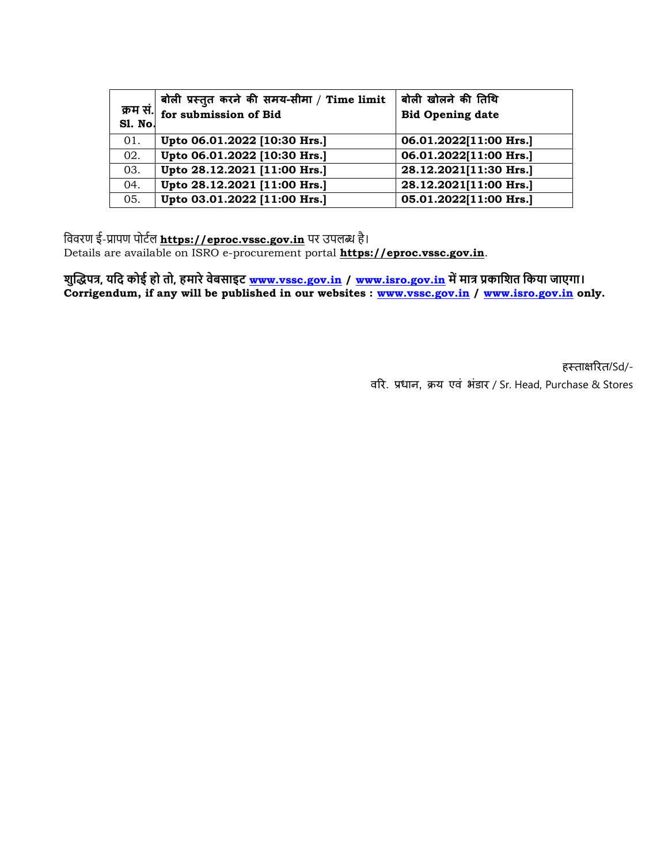|                | बोली प्रस्तुत करने की समय-सीमा / Time limit | बोली खोलने की तिथि      |
|----------------|---------------------------------------------|-------------------------|
| <b>S1. No.</b> | क्रम सं. $\int$ for submission of Bid       | <b>Bid Opening date</b> |
| 01.            | Upto 06.01.2022 [10:30 Hrs.]                | 06.01.2022[11:00 Hrs.]  |
| 02.            | Upto 06.01.2022 [10:30 Hrs.]                | 06.01.2022[11:00 Hrs.]  |
| 03.            | Upto 28.12.2021 [11:00 Hrs.]                | 28.12.2021[11:30 Hrs.]  |
| 04.            | Upto 28.12.2021 [11:00 Hrs.]                | 28.12.2021[11:00 Hrs.]  |
| 05.            | Upto 03.01.2022 [11:00 Hrs.]                | 05.01.2022[11:00 Hrs.]  |

वििरण ई-प्रापण पोटिल **https://eproc.vssc.gov.in** पर उपलब्ध है।

Details are available on ISRO e-procurement portal **https://eproc.vssc.gov.in**.

**शुद्धिपत्र, यनद कोई हो तो, हमारे िेबसाइि [www.vssc.gov.in](http://www.vssc.gov.in/) / [www.isro.gov.in](http://www.isro.gov.in/) में मात्र प्रकानशत नकया जाएगा। Corrigendum, if any will be published in our websites : [www.vssc.gov.in](http://www.vssc.gov.in/) / [www.isro.gov.in](http://www.isro.gov.in/) only.**

> हस्ताक्षरित/Sd/-िरय. प्रधान, क्रम एिं बंडाय / Sr. Head, Purchase & Stores